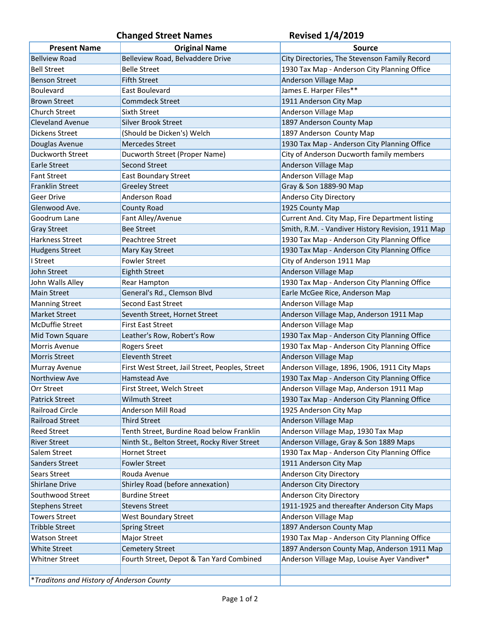## Changed Street Names<br>
Revised 1/4/2019

| <b>Present Name</b>                       | <b>Original Name</b>                            | <b>Source</b>                                     |
|-------------------------------------------|-------------------------------------------------|---------------------------------------------------|
| <b>Bellview Road</b>                      | Belleview Road, Belvaddere Drive                | City Directories, The Stevenson Family Record     |
| <b>Bell Street</b>                        | <b>Belle Street</b>                             | 1930 Tax Map - Anderson City Planning Office      |
| Benson Street                             | <b>Fifth Street</b>                             | Anderson Village Map                              |
| Boulevard                                 | <b>East Boulevard</b>                           | James E. Harper Files**                           |
| <b>Brown Street</b>                       | <b>Commdeck Street</b>                          | 1911 Anderson City Map                            |
| <b>Church Street</b>                      | Sixth Street                                    | Anderson Village Map                              |
| <b>Cleveland Avenue</b>                   | <b>Silver Brook Street</b>                      | 1897 Anderson County Map                          |
| Dickens Street                            | (Should be Dicken's) Welch                      | 1897 Anderson County Map                          |
| Douglas Avenue                            | <b>Mercedes Street</b>                          | 1930 Tax Map - Anderson City Planning Office      |
| Duckworth Street                          | Ducworth Street (Proper Name)                   | City of Anderson Ducworth family members          |
| <b>Earle Street</b>                       | <b>Second Street</b>                            | Anderson Village Map                              |
| <b>Fant Street</b>                        | <b>East Boundary Street</b>                     | Anderson Village Map                              |
| <b>Franklin Street</b>                    | <b>Greeley Street</b>                           | Gray & Son 1889-90 Map                            |
| Geer Drive                                | Anderson Road                                   | Anderso City Directory                            |
| Glenwood Ave.                             | County Road                                     | 1925 County Map                                   |
| Goodrum Lane                              | Fant Alley/Avenue                               | Current And. City Map, Fire Department listing    |
| <b>Gray Street</b>                        | <b>Bee Street</b>                               | Smith, R.M. - Vandiver History Revision, 1911 Map |
| <b>Harkness Street</b>                    | Peachtree Street                                | 1930 Tax Map - Anderson City Planning Office      |
| <b>Hudgens Street</b>                     | Mary Kay Street                                 | 1930 Tax Map - Anderson City Planning Office      |
| I Street                                  | <b>Fowler Street</b>                            | City of Anderson 1911 Map                         |
| John Street                               | <b>Eighth Street</b>                            | Anderson Village Map                              |
| John Walls Alley                          | Rear Hampton                                    | 1930 Tax Map - Anderson City Planning Office      |
| <b>Main Street</b>                        | General's Rd., Clemson Blvd                     | Earle McGee Rice, Anderson Map                    |
| <b>Manning Street</b>                     | Second East Street                              | Anderson Village Map                              |
| <b>Market Street</b>                      | Seventh Street, Hornet Street                   | Anderson Village Map, Anderson 1911 Map           |
| McDuffie Street                           | <b>First East Street</b>                        | Anderson Village Map                              |
| Mid Town Square                           | Leather's Row, Robert's Row                     | 1930 Tax Map - Anderson City Planning Office      |
| Morris Avenue                             | <b>Rogers Sreet</b>                             | 1930 Tax Map - Anderson City Planning Office      |
| <b>Morris Street</b>                      | <b>Eleventh Street</b>                          | Anderson Village Map                              |
| Murray Avenue                             | First West Street, Jail Street, Peoples, Street | Anderson Village, 1896, 1906, 1911 City Maps      |
| Northview Ave                             | <b>Hamstead Ave</b>                             | 1930 Tax Map - Anderson City Planning Office      |
| Orr Street                                | First Street, Welch Street                      | Anderson Village Map, Anderson 1911 Map           |
| <b>Patrick Street</b>                     | <b>Wilmuth Street</b>                           | 1930 Tax Map - Anderson City Planning Office      |
| Railroad Circle                           | Anderson Mill Road                              | 1925 Anderson City Map                            |
| <b>Railroad Street</b>                    | <b>Third Street</b>                             | Anderson Village Map                              |
| <b>Reed Street</b>                        | Tenth Street, Burdine Road below Franklin       | Anderson Village Map, 1930 Tax Map                |
| <b>River Street</b>                       | Ninth St., Belton Street, Rocky River Street    | Anderson Village, Gray & Son 1889 Maps            |
| Salem Street                              | <b>Hornet Street</b>                            | 1930 Tax Map - Anderson City Planning Office      |
| Sanders Street                            | <b>Fowler Street</b>                            | 1911 Anderson City Map                            |
| Sears Street                              | Rouda Avenue                                    | Anderson City Directory                           |
| <b>Shirlane Drive</b>                     | Shirley Road (before annexation)                | Anderson City Directory                           |
| Southwood Street                          | <b>Burdine Street</b>                           | Anderson City Directory                           |
| <b>Stephens Street</b>                    | <b>Stevens Street</b>                           | 1911-1925 and thereafter Anderson City Maps       |
| <b>Towers Street</b>                      | <b>West Boundary Street</b>                     | Anderson Village Map                              |
| <b>Tribble Street</b>                     | <b>Spring Street</b>                            | 1897 Anderson County Map                          |
| <b>Watson Street</b>                      | Major Street                                    | 1930 Tax Map - Anderson City Planning Office      |
| <b>White Street</b>                       | <b>Cemetery Street</b>                          | 1897 Anderson County Map, Anderson 1911 Map       |
| <b>Whitner Street</b>                     | Fourth Street, Depot & Tan Yard Combined        | Anderson Village Map, Louise Ayer Vandiver*       |
|                                           |                                                 |                                                   |
| *Traditons and History of Anderson County |                                                 |                                                   |